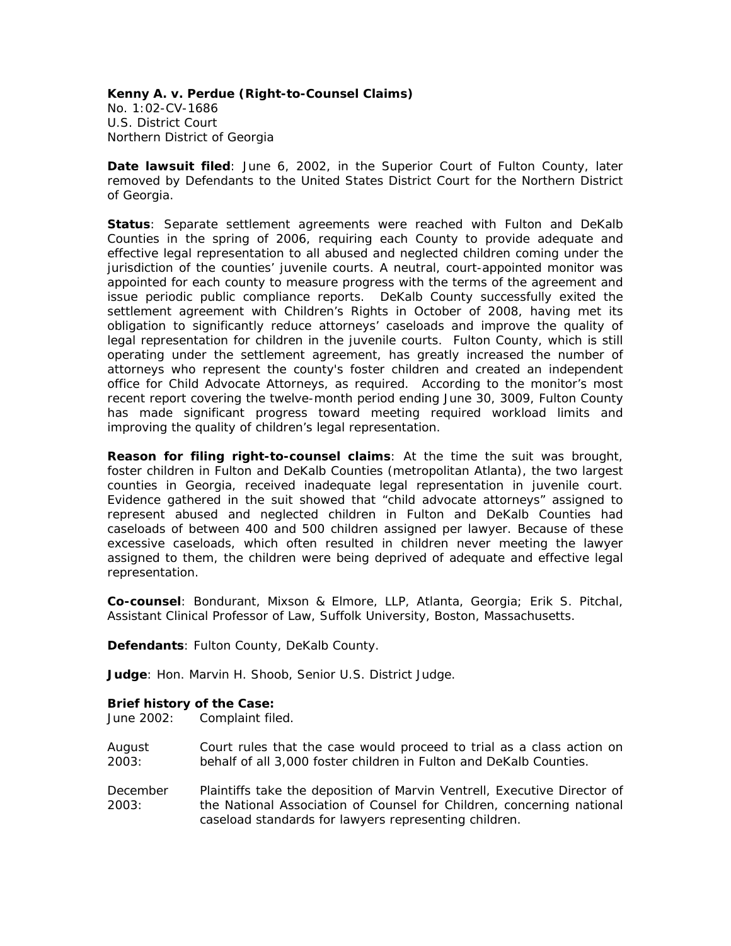**Kenny A. v. Perdue (Right-to-Counsel Claims)**  No. 1:02-CV-1686 U.S. District Court Northern District of Georgia

**Date lawsuit filed**: June 6, 2002, in the Superior Court of Fulton County, later removed by Defendants to the United States District Court for the Northern District of Georgia.

**Status**: Separate settlement agreements were reached with Fulton and DeKalb Counties in the spring of 2006, requiring each County to provide adequate and effective legal representation to all abused and neglected children coming under the jurisdiction of the counties' juvenile courts. A neutral, court-appointed monitor was appointed for each county to measure progress with the terms of the agreement and issue periodic public compliance reports. DeKalb County successfully exited the settlement agreement with Children's Rights in October of 2008, having met its obligation to significantly reduce attorneys' caseloads and improve the quality of legal representation for children in the juvenile courts. Fulton County, which is still operating under the settlement agreement, has greatly increased the number of attorneys who represent the county's foster children and created an independent office for Child Advocate Attorneys, as required. According to the monitor's most recent report covering the twelve-month period ending June 30, 3009, Fulton County has made significant progress toward meeting required workload limits and improving the quality of children's legal representation.

**Reason for filing right-to-counsel claims**: At the time the suit was brought, foster children in Fulton and DeKalb Counties (metropolitan Atlanta), the two largest counties in Georgia, received inadequate legal representation in juvenile court. Evidence gathered in the suit showed that "child advocate attorneys" assigned to represent abused and neglected children in Fulton and DeKalb Counties had caseloads of between 400 and 500 children assigned per lawyer. Because of these excessive caseloads, which often resulted in children never meeting the lawyer assigned to them, the children were being deprived of adequate and effective legal representation.

**Co-counsel**: Bondurant, Mixson & Elmore, LLP, Atlanta, Georgia; Erik S. Pitchal, Assistant Clinical Professor of Law, Suffolk University, Boston, Massachusetts.

**Defendants**: Fulton County, DeKalb County.

**Judge**: Hon. Marvin H. Shoob, Senior U.S. District Judge.

## **Brief history of the Case:**

June 2002: Complaint filed.

- August 2003: Court rules that the case would proceed to trial as a class action on behalf of all 3,000 foster children in Fulton and DeKalb Counties.
- December 2003: Plaintiffs take the deposition of Marvin Ventrell, Executive Director of the National Association of Counsel for Children, concerning national caseload standards for lawyers representing children.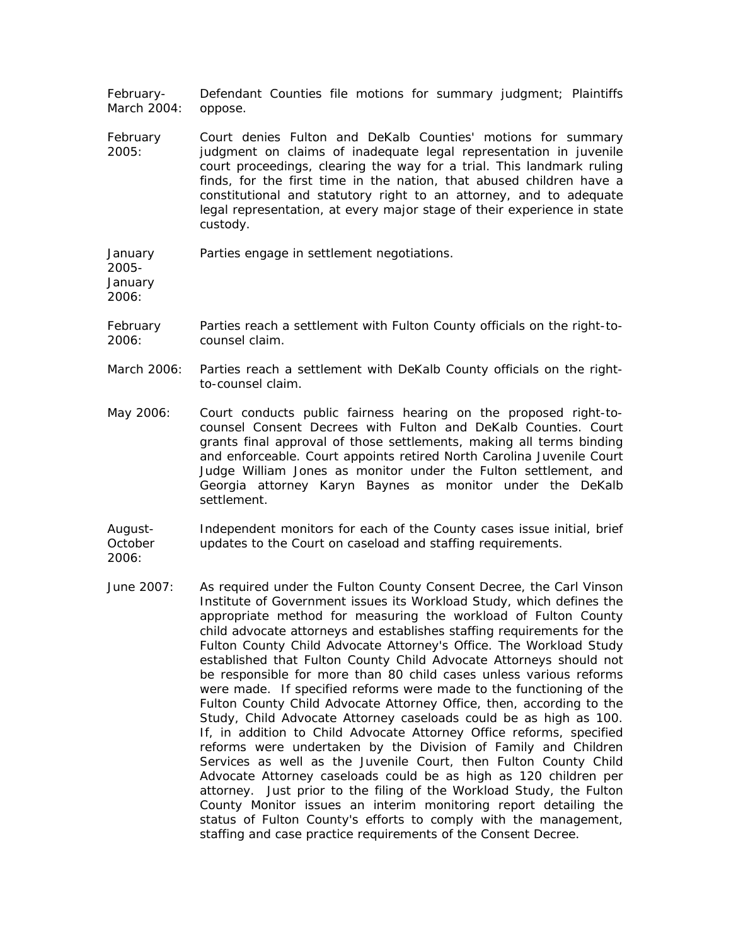February-March 2004: Defendant Counties file motions for summary judgment; Plaintiffs oppose.

- February 2005: Court denies Fulton and DeKalb Counties' motions for summary judgment on claims of inadequate legal representation in juvenile court proceedings, clearing the way for a trial. This landmark ruling finds, for the first time in the nation, that abused children have a constitutional and statutory right to an attorney, and to adequate legal representation, at every major stage of their experience in state custody.
- January Parties engage in settlement negotiations.

2005- January 2006:

- February 2006: Parties reach a settlement with Fulton County officials on the right-tocounsel claim.
- March 2006: Parties reach a settlement with DeKalb County officials on the rightto-counsel claim.
- May 2006: Court conducts public fairness hearing on the proposed right-tocounsel Consent Decrees with Fulton and DeKalb Counties. Court grants final approval of those settlements, making all terms binding and enforceable. Court appoints retired North Carolina Juvenile Court Judge William Jones as monitor under the Fulton settlement, and Georgia attorney Karyn Baynes as monitor under the DeKalb settlement.
- August-October 2006: Independent monitors for each of the County cases issue initial, brief updates to the Court on caseload and staffing requirements.
- June 2007: As required under the Fulton County Consent Decree, the Carl Vinson Institute of Government issues its Workload Study, which defines the appropriate method for measuring the workload of Fulton County child advocate attorneys and establishes staffing requirements for the Fulton County Child Advocate Attorney's Office. The Workload Study established that Fulton County Child Advocate Attorneys should not be responsible for more than 80 child cases unless various reforms were made. If specified reforms were made to the functioning of the Fulton County Child Advocate Attorney Office, then, according to the Study, Child Advocate Attorney caseloads could be as high as 100. If, in addition to Child Advocate Attorney Office reforms, specified reforms were undertaken by the Division of Family and Children Services as well as the Juvenile Court, then Fulton County Child Advocate Attorney caseloads could be as high as 120 children per attorney. Just prior to the filing of the Workload Study, the Fulton County Monitor issues an interim monitoring report detailing the status of Fulton County's efforts to comply with the management, staffing and case practice requirements of the Consent Decree.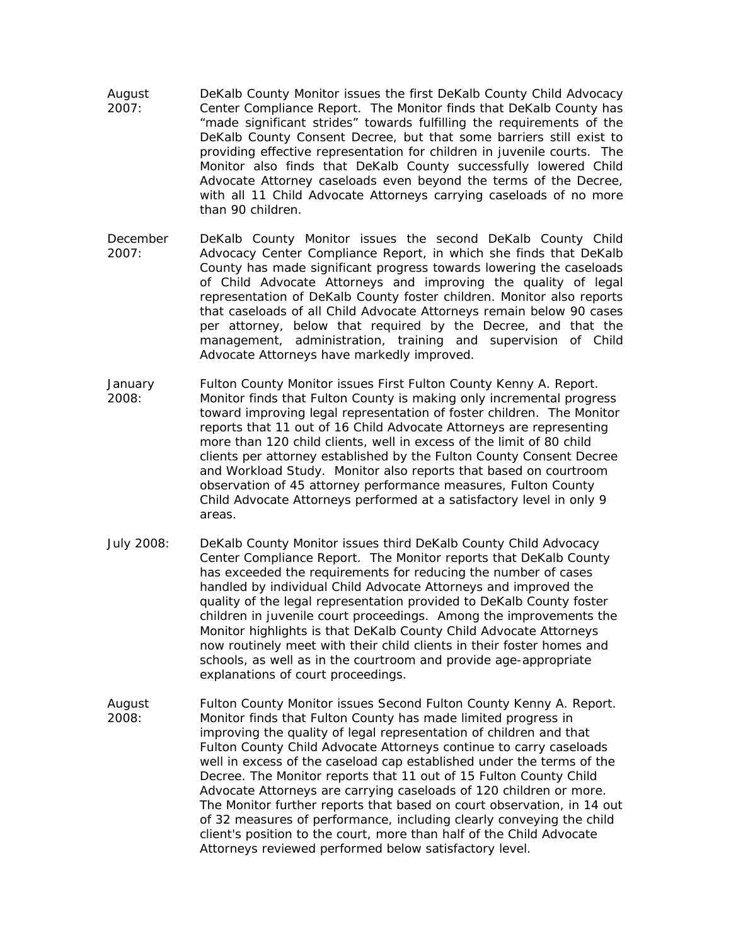- August 2007: DeKalb County Monitor issues the first *DeKalb County Child Advocacy Center Compliance Report.* The Monitor finds that DeKalb County has "made significant strides" towards fulfilling the requirements of the DeKalb County Consent Decree, but that some barriers still exist to providing effective representation for children in juvenile courts. The Monitor also finds that DeKalb County successfully lowered Child Advocate Attorney caseloads even beyond the terms of the Decree, with all 11 Child Advocate Attorneys carrying caseloads of no more than 90 children.
- December 2007: DeKalb County Monitor issues the second *DeKalb County Child Advocacy Center Compliance Report,* in which she finds that DeKalb County has made significant progress towards lowering the caseloads of Child Advocate Attorneys and improving the quality of legal representation of DeKalb County foster children. Monitor also reports that caseloads of all Child Advocate Attorneys remain below 90 cases per attorney, below that required by the Decree, and that the management, administration, training and supervision of Child Advocate Attorneys have markedly improved.
- January 2008: Fulton County Monitor issues *First Fulton County Kenny A. Report.*  Monitor finds that Fulton County is making only incremental progress toward improving legal representation of foster children. The Monitor reports that 11 out of 16 Child Advocate Attorneys are representing more than 120 child clients, well in excess of the limit of 80 child clients per attorney established by the Fulton County Consent Decree and Workload Study. Monitor also reports that based on courtroom observation of 45 attorney performance measures, Fulton County Child Advocate Attorneys performed at a satisfactory level in only 9 areas.
- July 2008: DeKalb County Monitor issues third *DeKalb County Child Advocacy Center Compliance Report*. The Monitor reports that DeKalb County has exceeded the requirements for reducing the number of cases handled by individual Child Advocate Attorneys and improved the quality of the legal representation provided to DeKalb County foster children in juvenile court proceedings. Among the improvements the Monitor highlights is that DeKalb County Child Advocate Attorneys now routinely meet with their child clients in their foster homes and schools, as well as in the courtroom and provide age-appropriate explanations of court proceedings.
- August 2008: Fulton County Monitor issues *Second Fulton County Kenny A. Report.* Monitor finds that Fulton County has made limited progress in improving the quality of legal representation of children and that Fulton County Child Advocate Attorneys continue to carry caseloads well in excess of the caseload cap established under the terms of the Decree. The Monitor reports that 11 out of 15 Fulton County Child Advocate Attorneys are carrying caseloads of 120 children or more. The Monitor further reports that based on court observation, in 14 out of 32 measures of performance, including clearly conveying the child client's position to the court, more than half of the Child Advocate Attorneys reviewed performed below satisfactory level.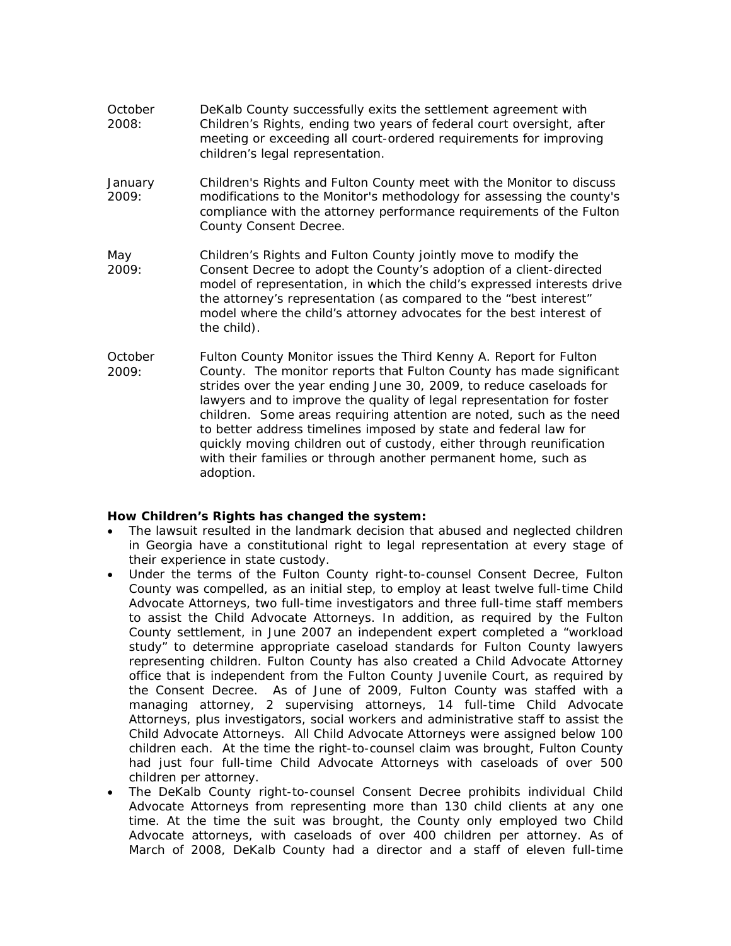- October 2008: DeKalb County successfully exits the settlement agreement with Children's Rights, ending two years of federal court oversight, after meeting or exceeding all court-ordered requirements for improving children's legal representation.
- January 2009: Children's Rights and Fulton County meet with the Monitor to discuss modifications to the Monitor's methodology for assessing the county's compliance with the attorney performance requirements of the Fulton County Consent Decree.
- Children's Rights and Fulton County jointly move to modify the Consent Decree to adopt the County's adoption of a client-directed model of representation, in which the child's expressed interests drive the attorney's representation (as compared to the "best interest" model where the child's attorney advocates for the best interest of the child). May 2009:
- Fulton County Monitor issues the *Third Kenny A. Report for Fulton County*. The monitor reports that Fulton County has made significant strides over the year ending June 30, 2009, to reduce caseloads for lawyers and to improve the quality of legal representation for foster children. Some areas requiring attention are noted, such as the need to better address timelines imposed by state and federal law for quickly moving children out of custody, either through reunification with their families or through another permanent home, such as adoption. **October** 2009:

## **How Children's Rights has changed the system:**

- The lawsuit resulted in the landmark decision that abused and neglected children in Georgia have a constitutional right to legal representation at every stage of their experience in state custody.
- Under the terms of the Fulton County right-to-counsel Consent Decree, Fulton County was compelled, as an initial step, to employ at least twelve full-time Child Advocate Attorneys, two full-time investigators and three full-time staff members to assist the Child Advocate Attorneys. In addition, as required by the Fulton County settlement, in June 2007 an independent expert completed a "workload study" to determine appropriate caseload standards for Fulton County lawyers representing children. Fulton County has also created a Child Advocate Attorney office that is independent from the Fulton County Juvenile Court, as required by the Consent Decree. As of June of 2009, Fulton County was staffed with a managing attorney, 2 supervising attorneys, 14 full-time Child Advocate Attorneys, plus investigators, social workers and administrative staff to assist the Child Advocate Attorneys. All Child Advocate Attorneys were assigned below 100 children each. At the time the right-to-counsel claim was brought, Fulton County had just four full-time Child Advocate Attorneys with caseloads of over 500 children per attorney.
- The DeKalb County right-to-counsel Consent Decree prohibits individual Child Advocate Attorneys from representing more than 130 child clients at any one time. At the time the suit was brought, the County only employed two Child Advocate attorneys, with caseloads of over 400 children per attorney. As of March of 2008, DeKalb County had a director and a staff of eleven full-time